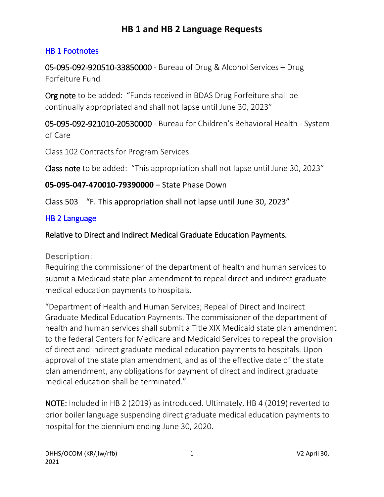### HB 1 Footnotes

05-095-092-920510-33850000 - Bureau of Drug & Alcohol Services – Drug Forfeiture Fund

Org note to be added: "Funds received in BDAS Drug Forfeiture shall be continually appropriated and shall not lapse until June 30, 2023"

05-095-092-921010-20530000 - Bureau for Children's Behavioral Health - System of Care

Class 102 Contracts for Program Services

Class note to be added: "This appropriation shall not lapse until June 30, 2023"

### **05-095-047-470010-79390000** – State Phase Down

Class 503 "F. This appropriation shall not lapse until June 30, 2023"

### HB 2 Language

### Relative to Direct and Indirect Medical Graduate Education Payments.

### Description:

Requiring the commissioner of the department of health and human services to submit a Medicaid state plan amendment to repeal direct and indirect graduate medical education payments to hospitals.

"Department of Health and Human Services; Repeal of Direct and Indirect Graduate Medical Education Payments. The commissioner of the department of health and human services shall submit a Title XIX Medicaid state plan amendment to the federal Centers for Medicare and Medicaid Services to repeal the provision of direct and indirect graduate medical education payments to hospitals. Upon approval of the state plan amendment, and as of the effective date of the state plan amendment, any obligations for payment of direct and indirect graduate medical education shall be terminated."

NOTE: Included in HB 2 (2019) as introduced. Ultimately, HB 4 (2019) reverted to prior boiler language suspending direct graduate medical education payments to hospital for the biennium ending June 30, 2020.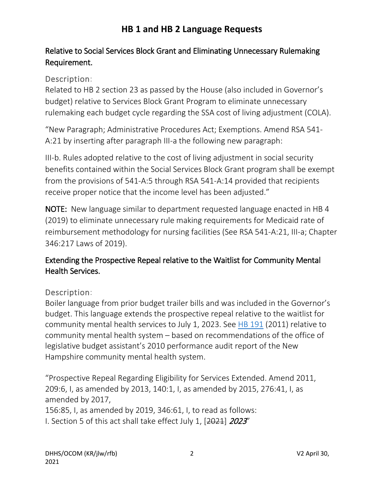## Relative to Social Services Block Grant and Eliminating Unnecessary Rulemaking Requirement.

### Description:

Related to HB 2 section 23 as passed by the House (also included in Governor's budget) relative to Services Block Grant Program to eliminate unnecessary rulemaking each budget cycle regarding the SSA cost of living adjustment (COLA).

"New Paragraph; Administrative Procedures Act; Exemptions. Amend RSA 541- A:21 by inserting after paragraph III-a the following new paragraph:

III-b. Rules adopted relative to the cost of living adjustment in social security benefits contained within the Social Services Block Grant program shall be exempt from the provisions of 541-A:5 through RSA 541-A:14 provided that recipients receive proper notice that the income level has been adjusted."

NOTE: New language similar to department requested language enacted in HB 4 (2019) to eliminate unnecessary rule making requirements for Medicaid rate of reimbursement methodology for nursing facilities (See RSA 541-A:21, III-a; Chapter 346:217 Laws of 2019).

### Extending the Prospective Repeal relative to the Waitlist for Community Mental Health Services.

### Description:

Boiler language from prior budget trailer bills and was included in the Governor's budget. This language extends the prospective repeal relative to the waitlist for community mental health services to July 1, 2023. See [HB 191](http://www.gencourt.state.nh.us/legislation/2011/HB0191.html) (2011) relative to community mental health system – based on recommendations of the office of legislative budget assistant's 2010 performance audit report of the New Hampshire community mental health system.

"Prospective Repeal Regarding Eligibility for Services Extended. Amend 2011, 209:6, I, as amended by 2013, 140:1, I, as amended by 2015, 276:41, I, as amended by 2017, 156:85, I, as amended by 2019, 346:61, I, to read as follows: I. Section 5 of this act shall take effect July 1, [2021] 2023"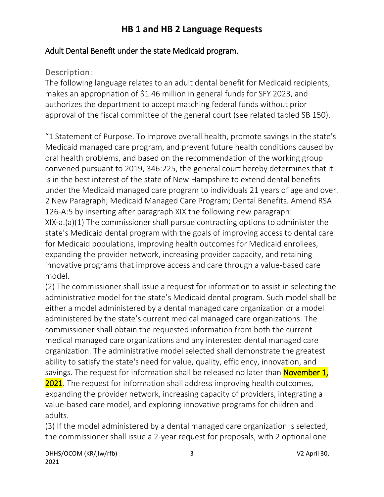### Adult Dental Benefit under the state Medicaid program.

### Description:

The following language relates to an adult dental benefit for Medicaid recipients, makes an appropriation of \$1.46 million in general funds for SFY 2023, and authorizes the department to accept matching federal funds without prior approval of the fiscal committee of the general court (see related tabled SB 150).

"1 Statement of Purpose. To improve overall health, promote savings in the state's Medicaid managed care program, and prevent future health conditions caused by oral health problems, and based on the recommendation of the working group convened pursuant to 2019, 346:225, the general court hereby determines that it is in the best interest of the state of New Hampshire to extend dental benefits under the Medicaid managed care program to individuals 21 years of age and over. 2 New Paragraph; Medicaid Managed Care Program; Dental Benefits. Amend RSA 126-A:5 by inserting after paragraph XIX the following new paragraph: XIX-a.(a)(1) The commissioner shall pursue contracting options to administer the state's Medicaid dental program with the goals of improving access to dental care for Medicaid populations, improving health outcomes for Medicaid enrollees, expanding the provider network, increasing provider capacity, and retaining innovative programs that improve access and care through a value-based care model.

(2) The commissioner shall issue a request for information to assist in selecting the administrative model for the state's Medicaid dental program. Such model shall be either a model administered by a dental managed care organization or a model administered by the state's current medical managed care organizations. The commissioner shall obtain the requested information from both the current medical managed care organizations and any interested dental managed care organization. The administrative model selected shall demonstrate the greatest ability to satisfy the state's need for value, quality, efficiency, innovation, and savings. The request for information shall be released no later than **November 1**, **2021**. The request for information shall address improving health outcomes, expanding the provider network, increasing capacity of providers, integrating a value-based care model, and exploring innovative programs for children and adults.

(3) If the model administered by a dental managed care organization is selected, the commissioner shall issue a 2-year request for proposals, with 2 optional one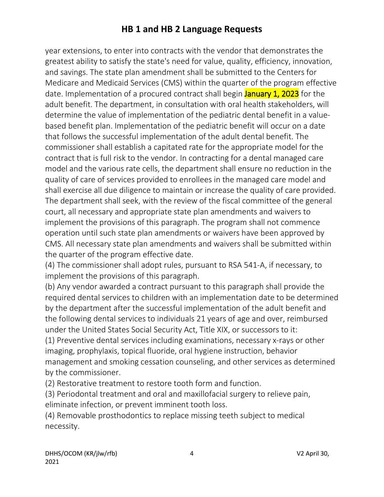year extensions, to enter into contracts with the vendor that demonstrates the greatest ability to satisfy the state's need for value, quality, efficiency, innovation, and savings. The state plan amendment shall be submitted to the Centers for Medicare and Medicaid Services (CMS) within the quarter of the program effective date. Implementation of a procured contract shall begin **January 1, 2023** for the adult benefit. The department, in consultation with oral health stakeholders, will determine the value of implementation of the pediatric dental benefit in a valuebased benefit plan. Implementation of the pediatric benefit will occur on a date that follows the successful implementation of the adult dental benefit. The commissioner shall establish a capitated rate for the appropriate model for the contract that is full risk to the vendor. In contracting for a dental managed care model and the various rate cells, the department shall ensure no reduction in the quality of care of services provided to enrollees in the managed care model and shall exercise all due diligence to maintain or increase the quality of care provided. The department shall seek, with the review of the fiscal committee of the general court, all necessary and appropriate state plan amendments and waivers to implement the provisions of this paragraph. The program shall not commence operation until such state plan amendments or waivers have been approved by CMS. All necessary state plan amendments and waivers shall be submitted within the quarter of the program effective date.

(4) The commissioner shall adopt rules, pursuant to RSA 541-A, if necessary, to implement the provisions of this paragraph.

(b) Any vendor awarded a contract pursuant to this paragraph shall provide the required dental services to children with an implementation date to be determined by the department after the successful implementation of the adult benefit and the following dental services to individuals 21 years of age and over, reimbursed under the United States Social Security Act, Title XIX, or successors to it:

(1) Preventive dental services including examinations, necessary x-rays or other imaging, prophylaxis, topical fluoride, oral hygiene instruction, behavior management and smoking cessation counseling, and other services as determined by the commissioner.

(2) Restorative treatment to restore tooth form and function.

(3) Periodontal treatment and oral and maxillofacial surgery to relieve pain, eliminate infection, or prevent imminent tooth loss.

(4) Removable prosthodontics to replace missing teeth subject to medical necessity.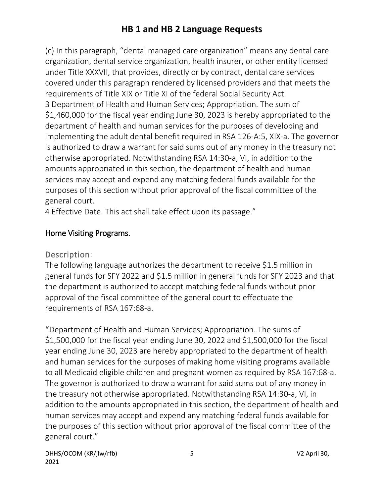(c) In this paragraph, "dental managed care organization" means any dental care organization, dental service organization, health insurer, or other entity licensed under Title XXXVII, that provides, directly or by contract, dental care services covered under this paragraph rendered by licensed providers and that meets the requirements of Title XIX or Title XI of the federal Social Security Act. 3 Department of Health and Human Services; Appropriation. The sum of \$1,460,000 for the fiscal year ending June 30, 2023 is hereby appropriated to the department of health and human services for the purposes of developing and implementing the adult dental benefit required in RSA 126-A:5, XIX-a. The governor is authorized to draw a warrant for said sums out of any money in the treasury not otherwise appropriated. Notwithstanding RSA 14:30-a, VI, in addition to the amounts appropriated in this section, the department of health and human services may accept and expend any matching federal funds available for the purposes of this section without prior approval of the fiscal committee of the general court.

4 Effective Date. This act shall take effect upon its passage."

### Home Visiting Programs.

### Description:

The following language authorizes the department to receive \$1.5 million in general funds for SFY 2022 and \$1.5 million in general funds for SFY 2023 and that the department is authorized to accept matching federal funds without prior approval of the fiscal committee of the general court to effectuate the requirements of RSA 167:68-a.

"Department of Health and Human Services; Appropriation. The sums of \$1,500,000 for the fiscal year ending June 30, 2022 and \$1,500,000 for the fiscal year ending June 30, 2023 are hereby appropriated to the department of health and human services for the purposes of making home visiting programs available to all Medicaid eligible children and pregnant women as required by RSA 167:68-a. The governor is authorized to draw a warrant for said sums out of any money in the treasury not otherwise appropriated. Notwithstanding RSA 14:30-a, VI, in addition to the amounts appropriated in this section, the department of health and human services may accept and expend any matching federal funds available for the purposes of this section without prior approval of the fiscal committee of the general court."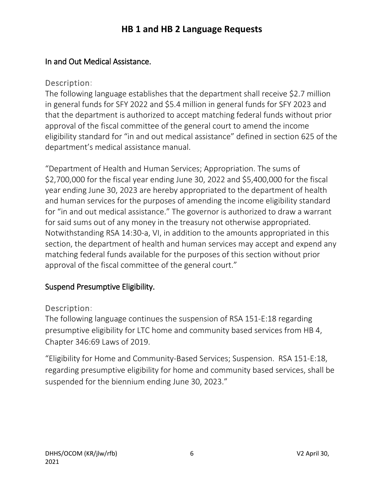### In and Out Medical Assistance.

### Description:

The following language establishes that the department shall receive \$2.7 million in general funds for SFY 2022 and \$5.4 million in general funds for SFY 2023 and that the department is authorized to accept matching federal funds without prior approval of the fiscal committee of the general court to amend the income eligibility standard for "in and out medical assistance" defined in section 625 of the department's medical assistance manual.

"Department of Health and Human Services; Appropriation. The sums of \$2,700,000 for the fiscal year ending June 30, 2022 and \$5,400,000 for the fiscal year ending June 30, 2023 are hereby appropriated to the department of health and human services for the purposes of amending the income eligibility standard for "in and out medical assistance." The governor is authorized to draw a warrant for said sums out of any money in the treasury not otherwise appropriated. Notwithstanding RSA 14:30-a, VI, in addition to the amounts appropriated in this section, the department of health and human services may accept and expend any matching federal funds available for the purposes of this section without prior approval of the fiscal committee of the general court."

### Suspend Presumptive Eligibility.

### Description:

The following language continues the suspension of RSA 151-E:18 regarding presumptive eligibility for LTC home and community based services from HB 4, Chapter 346:69 Laws of 2019.

"Eligibility for Home and Community-Based Services; Suspension. RSA 151-E:18, regarding presumptive eligibility for home and community based services, shall be suspended for the biennium ending June 30, 2023."